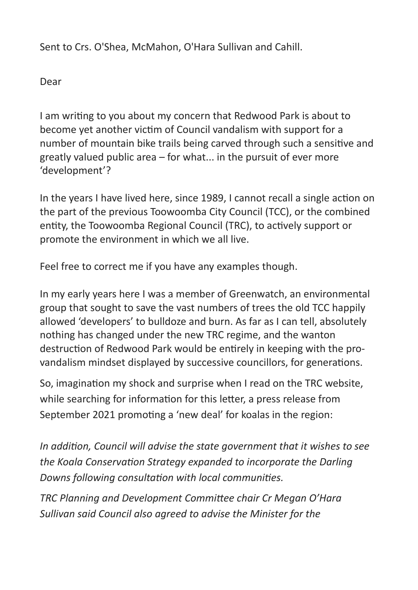Sent to Crs. O'Shea, McMahon, O'Hara Sullivan and Cahill.

Dear

I am writing to you about my concern that Redwood Park is about to become yet another victim of Council vandalism with support for a number of mountain bike trails being carved through such a sensitive and greatly valued public area – for what... in the pursuit of ever more 'development'?

In the years I have lived here, since 1989, I cannot recall a single action on the part of the previous Toowoomba City Council (TCC), or the combined entity, the Toowoomba Regional Council (TRC), to actively support or promote the environment in which we all live.

Feel free to correct me if you have any examples though.

In my early years here I was a member of Greenwatch, an environmental group that sought to save the vast numbers of trees the old TCC happily allowed 'developers' to bulldoze and burn. As far as I can tell, absolutely nothing has changed under the new TRC regime, and the wanton destruction of Redwood Park would be entirely in keeping with the provandalism mindset displayed by successive councillors, for generations.

So, imagination my shock and surprise when I read on the TRC website, while searching for information for this letter, a press release from September 2021 promoting a 'new deal' for koalas in the region:

*In addition, Council will advise the state government that it wishes to see the Koala Conservation Strategy expanded to incorporate the Darling Downs following consultation with local communities.*

*TRC Planning and Development Committee chair Cr Megan O'Hara Sullivan said Council also agreed to advise the Minister for the*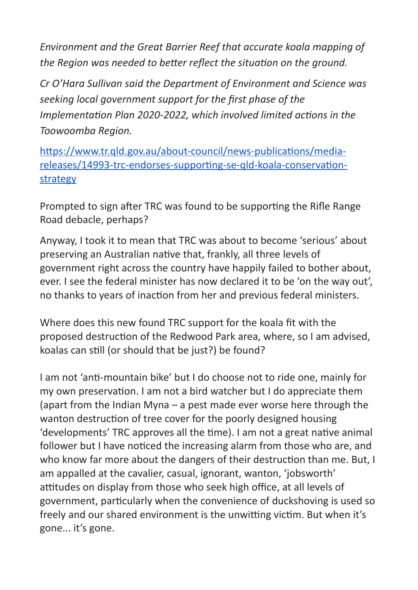*Environment and the Great Barrier Reef that accurate koala mapping of the Region was needed to better reflect the situation on the ground.*

*Cr O'Hara Sullivan said the Department of Environment and Science was seeking local government support for the first phase of the Implementation Plan 2020-2022, which involved limited actions in the Toowoomba Region.*

[https://www.tr.qld.gov.au/about-council/news-publications/media](https://www.tr.qld.gov.au/about-council/news-publications/media-releases/14993-trc-endorses-supporting-se-qld-koala-conservation-strategy)[releases/14993-trc-endorses-supporting-se-qld-koala-conservation](https://www.tr.qld.gov.au/about-council/news-publications/media-releases/14993-trc-endorses-supporting-se-qld-koala-conservation-strategy)[strategy](https://www.tr.qld.gov.au/about-council/news-publications/media-releases/14993-trc-endorses-supporting-se-qld-koala-conservation-strategy)

Prompted to sign after TRC was found to be supporting the Rifle Range Road debacle, perhaps?

Anyway, I took it to mean that TRC was about to become 'serious' about preserving an Australian native that, frankly, all three levels of government right across the country have happily failed to bother about, ever. I see the federal minister has now declared it to be 'on the way out', no thanks to years of inaction from her and previous federal ministers.

Where does this new found TRC support for the koala fit with the proposed destruction of the Redwood Park area, where, so I am advised, koalas can still (or should that be just?) be found?

I am not 'anti-mountain bike' but I do choose not to ride one, mainly for my own preservation. I am not a bird watcher but I do appreciate them (apart from the Indian Myna – a pest made ever worse here through the wanton destruction of tree cover for the poorly designed housing 'developments' TRC approves all the time). I am not a great native animal follower but I have noticed the increasing alarm from those who are, and who know far more about the dangers of their destruction than me. But, I am appalled at the cavalier, casual, ignorant, wanton, 'jobsworth' attitudes on display from those who seek high office, at all levels of government, particularly when the convenience of duckshoving is used so freely and our shared environment is the unwitting victim. But when it's gone... it's gone.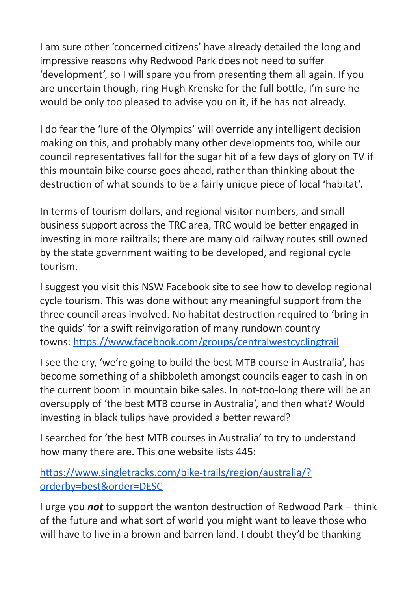I am sure other 'concerned citizens' have already detailed the long and impressive reasons why Redwood Park does not need to suffer 'development', so I will spare you from presenting them all again. If you are uncertain though, ring Hugh Krenske for the full bottle, I'm sure he would be only too pleased to advise you on it, if he has not already.

I do fear the 'lure of the Olympics' will override any intelligent decision making on this, and probably many other developments too, while our council representatives fall for the sugar hit of a few days of glory on TV if this mountain bike course goes ahead, rather than thinking about the destruction of what sounds to be a fairly unique piece of local 'habitat'.

In terms of tourism dollars, and regional visitor numbers, and small business support across the TRC area, TRC would be better engaged in investing in more railtrails; there are many old railway routes still owned by the state government waiting to be developed, and regional cycle tourism.

I suggest you visit this NSW Facebook site to see how to develop regional cycle tourism. This was done without any meaningful support from the three council areas involved. No habitat destruction required to 'bring in the quids' for a swift reinvigoration of many rundown country towns: <https://www.facebook.com/groups/centralwestcyclingtrail>

I see the cry, 'we're going to build the best MTB course in Australia', has become something of a shibboleth amongst councils eager to cash in on the current boom in mountain bike sales. In not-too-long there will be an oversupply of 'the best MTB course in Australia', and then what? Would investing in black tulips have provided a better reward?

I searched for 'the best MTB courses in Australia' to try to understand how many there are. This one website lists 445:

[https://www.singletracks.com/bike-trails/region/australia/?](https://www.singletracks.com/bike-trails/region/australia/?orderby=best&order=DESC) [orderby=best&order=DESC](https://www.singletracks.com/bike-trails/region/australia/?orderby=best&order=DESC)

I urge you *not* to support the wanton destruction of Redwood Park – think of the future and what sort of world you might want to leave those who will have to live in a brown and barren land. I doubt they'd be thanking